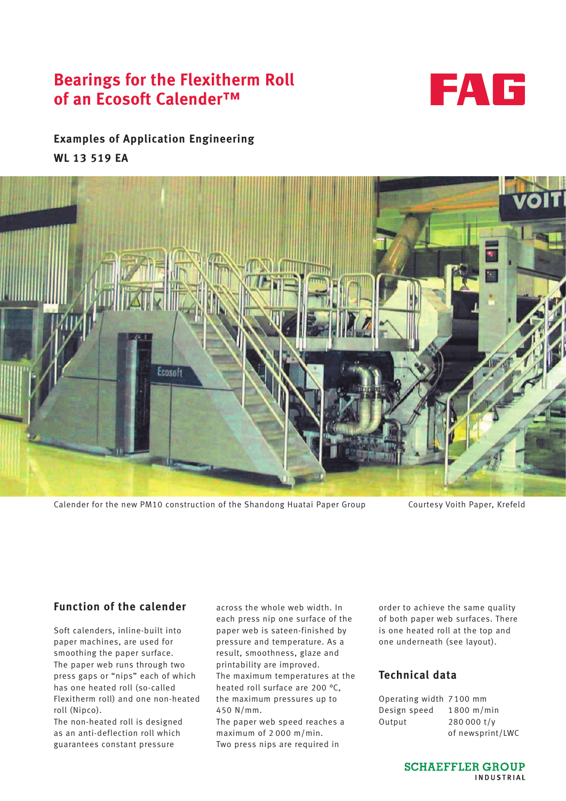# **Bearings for the Flexitherm Roll of an Ecosoft Calender™**



## **Examples of Application Engineering WL 13 519 EA**



Calender for the new PM10 construction of the Shandong Huatai Paper Group Courtesy Voith Paper, Krefeld

### **Function of the calender**

Soft calenders, inline-built into paper machines, are used for smoothing the paper surface. The paper web runs through two press gaps or "nips" each of which has one heated roll (so-called Flexitherm roll) and one non-heated roll (Nipco).

The non-heated roll is designed as an anti-deflection roll which guarantees constant pressure

across the whole web width. In each press nip one surface of the paper web is sateen-finished by pressure and temperature. As a result, smoothness, glaze and printability are improved. The maximum temperatures at the heated roll surface are 200 °C, the maximum pressures up to 450 N/mm.

The paper web speed reaches a maximum of 2 000 m/min. Two press nips are required in

order to achieve the same quality of both paper web surfaces. There is one heated roll at the top and one underneath (see layout).

### **Technical data**

| Operating width 7100 mm |                  |
|-------------------------|------------------|
| Design speed            | $1800$ m/min     |
| Output                  | 280 000 t/v      |
|                         | of newsprint/LWC |

**SCHAEFFLER GROUP** INDUSTRIAL